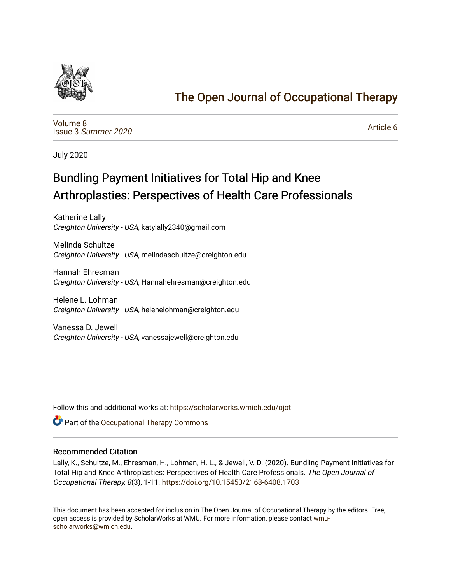

## [The Open Journal of Occupational Therapy](https://scholarworks.wmich.edu/ojot)

[Volume 8](https://scholarworks.wmich.edu/ojot/vol8) Issue 3 [Summer 2020](https://scholarworks.wmich.edu/ojot/vol8/iss3) 

[Article 6](https://scholarworks.wmich.edu/ojot/vol8/iss3/6) 

July 2020

# Bundling Payment Initiatives for Total Hip and Knee Arthroplasties: Perspectives of Health Care Professionals

Katherine Lally Creighton University - USA, katylally2340@gmail.com

Melinda Schultze Creighton University - USA, melindaschultze@creighton.edu

Hannah Ehresman Creighton University - USA, Hannahehresman@creighton.edu

Helene L. Lohman Creighton University - USA, helenelohman@creighton.edu

Vanessa D. Jewell Creighton University - USA, vanessajewell@creighton.edu

Follow this and additional works at: [https://scholarworks.wmich.edu/ojot](https://scholarworks.wmich.edu/ojot?utm_source=scholarworks.wmich.edu%2Fojot%2Fvol8%2Fiss3%2F6&utm_medium=PDF&utm_campaign=PDFCoverPages)

**C** Part of the Occupational Therapy Commons

#### Recommended Citation

Lally, K., Schultze, M., Ehresman, H., Lohman, H. L., & Jewell, V. D. (2020). Bundling Payment Initiatives for Total Hip and Knee Arthroplasties: Perspectives of Health Care Professionals. The Open Journal of Occupational Therapy, 8(3), 1-11. <https://doi.org/10.15453/2168-6408.1703>

This document has been accepted for inclusion in The Open Journal of Occupational Therapy by the editors. Free, open access is provided by ScholarWorks at WMU. For more information, please contact [wmu](mailto:wmu-scholarworks@wmich.edu)[scholarworks@wmich.edu.](mailto:wmu-scholarworks@wmich.edu)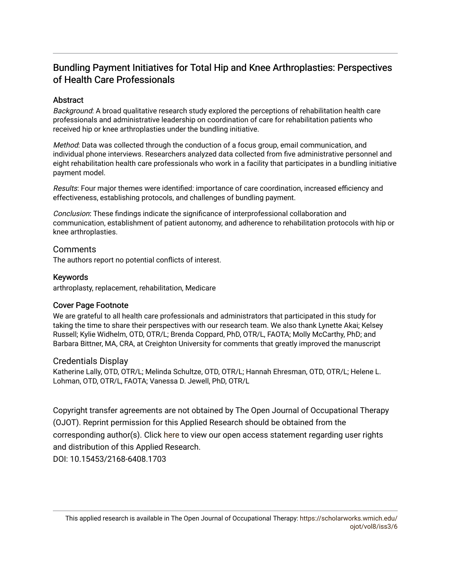## Bundling Payment Initiatives for Total Hip and Knee Arthroplasties: Perspectives of Health Care Professionals

## **Abstract**

Background: A broad qualitative research study explored the perceptions of rehabilitation health care professionals and administrative leadership on coordination of care for rehabilitation patients who received hip or knee arthroplasties under the bundling initiative.

Method: Data was collected through the conduction of a focus group, email communication, and individual phone interviews. Researchers analyzed data collected from five administrative personnel and eight rehabilitation health care professionals who work in a facility that participates in a bundling initiative payment model.

Results: Four major themes were identified: importance of care coordination, increased efficiency and effectiveness, establishing protocols, and challenges of bundling payment.

Conclusion: These findings indicate the significance of interprofessional collaboration and communication, establishment of patient autonomy, and adherence to rehabilitation protocols with hip or knee arthroplasties.

## **Comments**

The authors report no potential conflicts of interest.

## Keywords

arthroplasty, replacement, rehabilitation, Medicare

## Cover Page Footnote

We are grateful to all health care professionals and administrators that participated in this study for taking the time to share their perspectives with our research team. We also thank Lynette Akai; Kelsey Russell; Kylie Widhelm, OTD, OTR/L; Brenda Coppard, PhD, OTR/L, FAOTA; Molly McCarthy, PhD; and Barbara Bittner, MA, CRA, at Creighton University for comments that greatly improved the manuscript

## Credentials Display

Katherine Lally, OTD, OTR/L; Melinda Schultze, OTD, OTR/L; Hannah Ehresman, OTD, OTR/L; Helene L. Lohman, OTD, OTR/L, FAOTA; Vanessa D. Jewell, PhD, OTR/L

Copyright transfer agreements are not obtained by The Open Journal of Occupational Therapy (OJOT). Reprint permission for this Applied Research should be obtained from the corresponding author(s). Click [here](https://scholarworks.wmich.edu/ojot/policies.html#rights) to view our open access statement regarding user rights and distribution of this Applied Research.

DOI: 10.15453/2168-6408.1703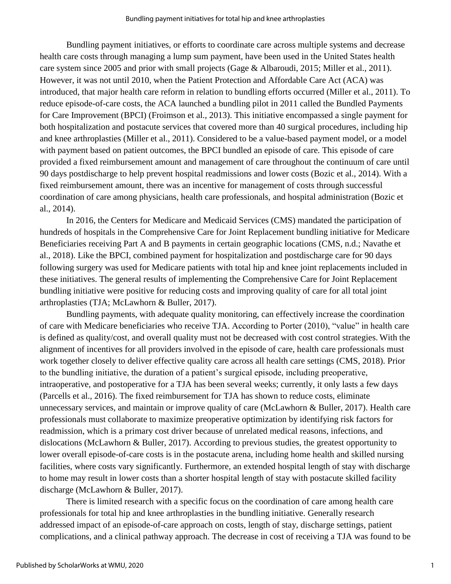Bundling payment initiatives, or efforts to coordinate care across multiple systems and decrease health care costs through managing a lump sum payment, have been used in the United States health care system since 2005 and prior with small projects (Gage & Albaroudi, 2015; Miller et al., 2011). However, it was not until 2010, when the Patient Protection and Affordable Care Act (ACA) was introduced, that major health care reform in relation to bundling efforts occurred (Miller et al., 2011). To reduce episode-of-care costs, the ACA launched a bundling pilot in 2011 called the Bundled Payments for Care Improvement (BPCI) (Froimson et al., 2013). This initiative encompassed a single payment for both hospitalization and postacute services that covered more than 40 surgical procedures, including hip and knee arthroplasties (Miller et al., 2011). Considered to be a value-based payment model, or a model with payment based on patient outcomes, the BPCI bundled an episode of care. This episode of care provided a fixed reimbursement amount and management of care throughout the continuum of care until 90 days postdischarge to help prevent hospital readmissions and lower costs (Bozic et al., 2014). With a fixed reimbursement amount, there was an incentive for management of costs through successful coordination of care among physicians, health care professionals, and hospital administration (Bozic et al., 2014).

In 2016, the Centers for Medicare and Medicaid Services (CMS) mandated the participation of hundreds of hospitals in the Comprehensive Care for Joint Replacement bundling initiative for Medicare Beneficiaries receiving Part A and B payments in certain geographic locations (CMS, n.d.; Navathe et al., 2018). Like the BPCI, combined payment for hospitalization and postdischarge care for 90 days following surgery was used for Medicare patients with total hip and knee joint replacements included in these initiatives. The general results of implementing the Comprehensive Care for Joint Replacement bundling initiative were positive for reducing costs and improving quality of care for all total joint arthroplasties (TJA; McLawhorn & Buller, 2017).

Bundling payments, with adequate quality monitoring, can effectively increase the coordination of care with Medicare beneficiaries who receive TJA. According to Porter (2010), "value" in health care is defined as quality/cost, and overall quality must not be decreased with cost control strategies. With the alignment of incentives for all providers involved in the episode of care, health care professionals must work together closely to deliver effective quality care across all health care settings (CMS, 2018). Prior to the bundling initiative, the duration of a patient's surgical episode, including preoperative, intraoperative, and postoperative for a TJA has been several weeks; currently, it only lasts a few days (Parcells et al., 2016). The fixed reimbursement for TJA has shown to reduce costs, eliminate unnecessary services, and maintain or improve quality of care (McLawhorn & Buller, 2017). Health care professionals must collaborate to maximize preoperative optimization by identifying risk factors for readmission, which is a primary cost driver because of unrelated medical reasons, infections, and dislocations (McLawhorn & Buller, 2017). According to previous studies, the greatest opportunity to lower overall episode-of-care costs is in the postacute arena, including home health and skilled nursing facilities, where costs vary significantly. Furthermore, an extended hospital length of stay with discharge to home may result in lower costs than a shorter hospital length of stay with postacute skilled facility discharge (McLawhorn & Buller, 2017).

There is limited research with a specific focus on the coordination of care among health care professionals for total hip and knee arthroplasties in the bundling initiative. Generally research addressed impact of an episode-of-care approach on costs, length of stay, discharge settings, patient complications, and a clinical pathway approach. The decrease in cost of receiving a TJA was found to be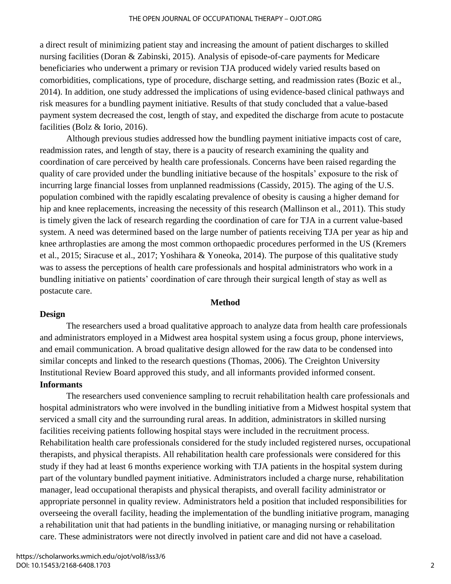a direct result of minimizing patient stay and increasing the amount of patient discharges to skilled nursing facilities (Doran & Zabinski, 2015). Analysis of episode-of-care payments for Medicare beneficiaries who underwent a primary or revision TJA produced widely varied results based on comorbidities, complications, type of procedure, discharge setting, and readmission rates (Bozic et al., 2014). In addition, one study addressed the implications of using evidence-based clinical pathways and risk measures for a bundling payment initiative. Results of that study concluded that a value-based payment system decreased the cost, length of stay, and expedited the discharge from acute to postacute facilities (Bolz & Iorio, 2016).

Although previous studies addressed how the bundling payment initiative impacts cost of care, readmission rates, and length of stay, there is a paucity of research examining the quality and coordination of care perceived by health care professionals. Concerns have been raised regarding the quality of care provided under the bundling initiative because of the hospitals' exposure to the risk of incurring large financial losses from unplanned readmissions (Cassidy, 2015). The aging of the U.S. population combined with the rapidly escalating prevalence of obesity is causing a higher demand for hip and knee replacements, increasing the necessity of this research (Mallinson et al., 2011). This study is timely given the lack of research regarding the coordination of care for TJA in a current value-based system. A need was determined based on the large number of patients receiving TJA per year as hip and knee arthroplasties are among the most common orthopaedic procedures performed in the US (Kremers et al., 2015; Siracuse et al., 2017; Yoshihara & Yoneoka, 2014). The purpose of this qualitative study was to assess the perceptions of health care professionals and hospital administrators who work in a bundling initiative on patients' coordination of care through their surgical length of stay as well as postacute care.

#### **Method**

#### **Design**

The researchers used a broad qualitative approach to analyze data from health care professionals and administrators employed in a Midwest area hospital system using a focus group, phone interviews, and email communication. A broad qualitative design allowed for the raw data to be condensed into similar concepts and linked to the research questions (Thomas, 2006). The Creighton University Institutional Review Board approved this study, and all informants provided informed consent. **Informants**

The researchers used convenience sampling to recruit rehabilitation health care professionals and hospital administrators who were involved in the bundling initiative from a Midwest hospital system that serviced a small city and the surrounding rural areas. In addition, administrators in skilled nursing facilities receiving patients following hospital stays were included in the recruitment process. Rehabilitation health care professionals considered for the study included registered nurses, occupational therapists, and physical therapists. All rehabilitation health care professionals were considered for this study if they had at least 6 months experience working with TJA patients in the hospital system during part of the voluntary bundled payment initiative. Administrators included a charge nurse, rehabilitation manager, lead occupational therapists and physical therapists, and overall facility administrator or appropriate personnel in quality review. Administrators held a position that included responsibilities for overseeing the overall facility, heading the implementation of the bundling initiative program, managing a rehabilitation unit that had patients in the bundling initiative, or managing nursing or rehabilitation care. These administrators were not directly involved in patient care and did not have a caseload.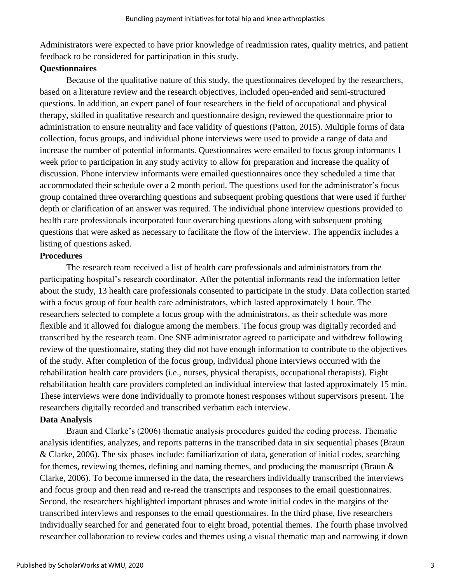Administrators were expected to have prior knowledge of readmission rates, quality metrics, and patient feedback to be considered for participation in this study.

## **Questionnaires**

Because of the qualitative nature of this study, the questionnaires developed by the researchers, based on a literature review and the research objectives, included open-ended and semi-structured questions. In addition, an expert panel of four researchers in the field of occupational and physical therapy, skilled in qualitative research and questionnaire design, reviewed the questionnaire prior to administration to ensure neutrality and face validity of questions (Patton, 2015). Multiple forms of data collection, focus groups, and individual phone interviews were used to provide a range of data and increase the number of potential informants. Questionnaires were emailed to focus group informants 1 week prior to participation in any study activity to allow for preparation and increase the quality of discussion. Phone interview informants were emailed questionnaires once they scheduled a time that accommodated their schedule over a 2 month period. The questions used for the administrator's focus group contained three overarching questions and subsequent probing questions that were used if further depth or clarification of an answer was required. The individual phone interview questions provided to health care professionals incorporated four overarching questions along with subsequent probing questions that were asked as necessary to facilitate the flow of the interview. The appendix includes a listing of questions asked.

## **Procedures**

The research team received a list of health care professionals and administrators from the participating hospital's research coordinator. After the potential informants read the information letter about the study, 13 health care professionals consented to participate in the study. Data collection started with a focus group of four health care administrators, which lasted approximately 1 hour. The researchers selected to complete a focus group with the administrators, as their schedule was more flexible and it allowed for dialogue among the members. The focus group was digitally recorded and transcribed by the research team. One SNF administrator agreed to participate and withdrew following review of the questionnaire, stating they did not have enough information to contribute to the objectives of the study. After completion of the focus group, individual phone interviews occurred with the rehabilitation health care providers (i.e., nurses, physical therapists, occupational therapists). Eight rehabilitation health care providers completed an individual interview that lasted approximately 15 min. These interviews were done individually to promote honest responses without supervisors present. The researchers digitally recorded and transcribed verbatim each interview.

## **Data Analysis**

Braun and Clarke's (2006) thematic analysis procedures guided the coding process. Thematic analysis identifies, analyzes, and reports patterns in the transcribed data in six sequential phases (Braun & Clarke, 2006). The six phases include: familiarization of data, generation of initial codes, searching for themes, reviewing themes, defining and naming themes, and producing the manuscript (Braun & Clarke, 2006). To become immersed in the data, the researchers individually transcribed the interviews and focus group and then read and re-read the transcripts and responses to the email questionnaires. Second, the researchers highlighted important phrases and wrote initial codes in the margins of the transcribed interviews and responses to the email questionnaires. In the third phase, five researchers individually searched for and generated four to eight broad, potential themes. The fourth phase involved researcher collaboration to review codes and themes using a visual thematic map and narrowing it down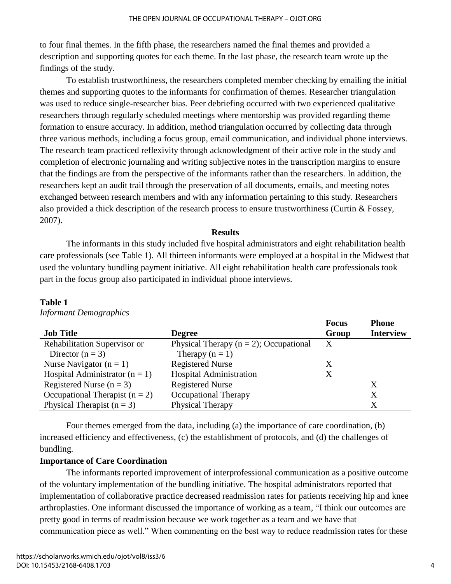to four final themes. In the fifth phase, the researchers named the final themes and provided a description and supporting quotes for each theme. In the last phase, the research team wrote up the findings of the study.

To establish trustworthiness, the researchers completed member checking by emailing the initial themes and supporting quotes to the informants for confirmation of themes. Researcher triangulation was used to reduce single-researcher bias. Peer debriefing occurred with two experienced qualitative researchers through regularly scheduled meetings where mentorship was provided regarding theme formation to ensure accuracy. In addition, method triangulation occurred by collecting data through three various methods, including a focus group, email communication, and individual phone interviews. The research team practiced reflexivity through acknowledgment of their active role in the study and completion of electronic journaling and writing subjective notes in the transcription margins to ensure that the findings are from the perspective of the informants rather than the researchers. In addition, the researchers kept an audit trail through the preservation of all documents, emails, and meeting notes exchanged between research members and with any information pertaining to this study. Researchers also provided a thick description of the research process to ensure trustworthiness (Curtin & Fossey, 2007).

#### **Results**

The informants in this study included five hospital administrators and eight rehabilitation health care professionals (see Table 1). All thirteen informants were employed at a hospital in the Midwest that used the voluntary bundling payment initiative. All eight rehabilitation health care professionals took part in the focus group also participated in individual phone interviews.

| <b>Table 1</b> |                               |
|----------------|-------------------------------|
|                | <b>Informant Demographics</b> |

|                                  |                                           | <b>Focus</b> | <b>Phone</b>     |
|----------------------------------|-------------------------------------------|--------------|------------------|
| <b>Job Title</b>                 | <b>Degree</b>                             | Group        | <b>Interview</b> |
| Rehabilitation Supervisor or     | Physical Therapy $(n = 2)$ ; Occupational | X            |                  |
| Director $(n = 3)$               | Therapy $(n = 1)$                         |              |                  |
| Nurse Navigator $(n = 1)$        | <b>Registered Nurse</b>                   | X            |                  |
| Hospital Administrator $(n = 1)$ | Hospital Administration                   | Χ            |                  |
| Registered Nurse $(n = 3)$       | <b>Registered Nurse</b>                   |              | Χ                |
| Occupational Therapist $(n = 2)$ | Occupational Therapy                      |              | X                |
| Physical Therapist $(n = 3)$     | Physical Therapy                          |              |                  |

Four themes emerged from the data, including (a) the importance of care coordination, (b) increased efficiency and effectiveness, (c) the establishment of protocols, and (d) the challenges of bundling.

## **Importance of Care Coordination**

The informants reported improvement of interprofessional communication as a positive outcome of the voluntary implementation of the bundling initiative. The hospital administrators reported that implementation of collaborative practice decreased readmission rates for patients receiving hip and knee arthroplasties. One informant discussed the importance of working as a team, "I think our outcomes are pretty good in terms of readmission because we work together as a team and we have that communication piece as well." When commenting on the best way to reduce readmission rates for these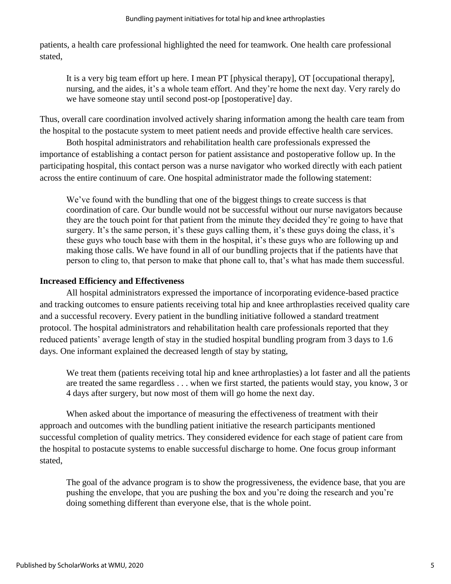patients, a health care professional highlighted the need for teamwork. One health care professional stated,

It is a very big team effort up here. I mean PT [physical therapy], OT [occupational therapy], nursing, and the aides, it's a whole team effort. And they're home the next day. Very rarely do we have someone stay until second post-op [postoperative] day.

Thus, overall care coordination involved actively sharing information among the health care team from the hospital to the postacute system to meet patient needs and provide effective health care services.

Both hospital administrators and rehabilitation health care professionals expressed the importance of establishing a contact person for patient assistance and postoperative follow up. In the participating hospital, this contact person was a nurse navigator who worked directly with each patient across the entire continuum of care. One hospital administrator made the following statement:

We've found with the bundling that one of the biggest things to create success is that coordination of care. Our bundle would not be successful without our nurse navigators because they are the touch point for that patient from the minute they decided they're going to have that surgery. It's the same person, it's these guys calling them, it's these guys doing the class, it's these guys who touch base with them in the hospital, it's these guys who are following up and making those calls. We have found in all of our bundling projects that if the patients have that person to cling to, that person to make that phone call to, that's what has made them successful.

## **Increased Efficiency and Effectiveness**

All hospital administrators expressed the importance of incorporating evidence-based practice and tracking outcomes to ensure patients receiving total hip and knee arthroplasties received quality care and a successful recovery. Every patient in the bundling initiative followed a standard treatment protocol. The hospital administrators and rehabilitation health care professionals reported that they reduced patients' average length of stay in the studied hospital bundling program from 3 days to 1.6 days. One informant explained the decreased length of stay by stating,

We treat them (patients receiving total hip and knee arthroplasties) a lot faster and all the patients are treated the same regardless . . . when we first started, the patients would stay, you know, 3 or 4 days after surgery, but now most of them will go home the next day.

When asked about the importance of measuring the effectiveness of treatment with their approach and outcomes with the bundling patient initiative the research participants mentioned successful completion of quality metrics. They considered evidence for each stage of patient care from the hospital to postacute systems to enable successful discharge to home. One focus group informant stated,

The goal of the advance program is to show the progressiveness, the evidence base, that you are pushing the envelope, that you are pushing the box and you're doing the research and you're doing something different than everyone else, that is the whole point.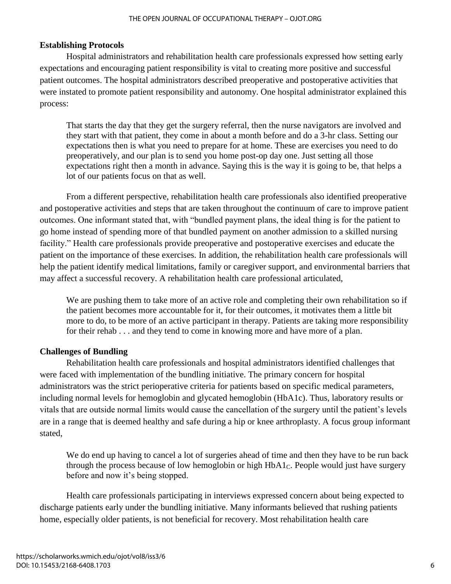#### THE OPEN JOURNAL OF OCCUPATIONAL THERAPY – OJOT.ORG

#### **Establishing Protocols**

Hospital administrators and rehabilitation health care professionals expressed how setting early expectations and encouraging patient responsibility is vital to creating more positive and successful patient outcomes. The hospital administrators described preoperative and postoperative activities that were instated to promote patient responsibility and autonomy. One hospital administrator explained this process:

That starts the day that they get the surgery referral, then the nurse navigators are involved and they start with that patient, they come in about a month before and do a 3-hr class. Setting our expectations then is what you need to prepare for at home. These are exercises you need to do preoperatively, and our plan is to send you home post-op day one. Just setting all those expectations right then a month in advance. Saying this is the way it is going to be, that helps a lot of our patients focus on that as well.

From a different perspective, rehabilitation health care professionals also identified preoperative and postoperative activities and steps that are taken throughout the continuum of care to improve patient outcomes. One informant stated that, with "bundled payment plans, the ideal thing is for the patient to go home instead of spending more of that bundled payment on another admission to a skilled nursing facility." Health care professionals provide preoperative and postoperative exercises and educate the patient on the importance of these exercises. In addition, the rehabilitation health care professionals will help the patient identify medical limitations, family or caregiver support, and environmental barriers that may affect a successful recovery. A rehabilitation health care professional articulated,

We are pushing them to take more of an active role and completing their own rehabilitation so if the patient becomes more accountable for it, for their outcomes, it motivates them a little bit more to do, to be more of an active participant in therapy. Patients are taking more responsibility for their rehab . . . and they tend to come in knowing more and have more of a plan.

#### **Challenges of Bundling**

Rehabilitation health care professionals and hospital administrators identified challenges that were faced with implementation of the bundling initiative. The primary concern for hospital administrators was the strict perioperative criteria for patients based on specific medical parameters, including normal levels for hemoglobin and glycated hemoglobin (HbA1c). Thus, laboratory results or vitals that are outside normal limits would cause the cancellation of the surgery until the patient's levels are in a range that is deemed healthy and safe during a hip or knee arthroplasty. A focus group informant stated,

We do end up having to cancel a lot of surgeries ahead of time and then they have to be run back through the process because of low hemoglobin or high  $HbA1<sub>C</sub>$ . People would just have surgery before and now it's being stopped.

Health care professionals participating in interviews expressed concern about being expected to discharge patients early under the bundling initiative. Many informants believed that rushing patients home, especially older patients, is not beneficial for recovery. Most rehabilitation health care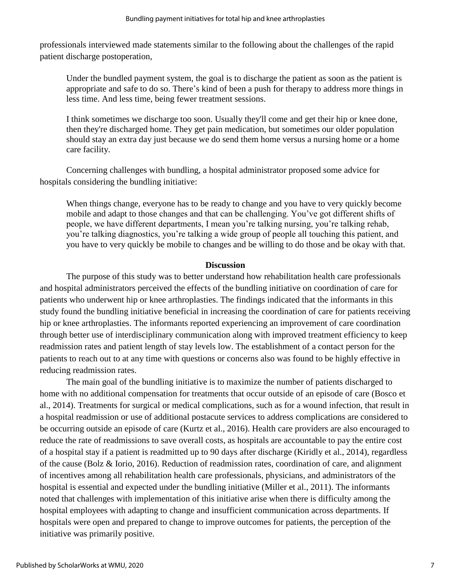professionals interviewed made statements similar to the following about the challenges of the rapid patient discharge postoperation,

Under the bundled payment system, the goal is to discharge the patient as soon as the patient is appropriate and safe to do so. There's kind of been a push for therapy to address more things in less time. And less time, being fewer treatment sessions.

I think sometimes we discharge too soon. Usually they'll come and get their hip or knee done, then they're discharged home. They get pain medication, but sometimes our older population should stay an extra day just because we do send them home versus a nursing home or a home care facility.

Concerning challenges with bundling, a hospital administrator proposed some advice for hospitals considering the bundling initiative:

When things change, everyone has to be ready to change and you have to very quickly become mobile and adapt to those changes and that can be challenging. You've got different shifts of people, we have different departments, I mean you're talking nursing, you're talking rehab, you're talking diagnostics, you're talking a wide group of people all touching this patient, and you have to very quickly be mobile to changes and be willing to do those and be okay with that.

#### **Discussion**

The purpose of this study was to better understand how rehabilitation health care professionals and hospital administrators perceived the effects of the bundling initiative on coordination of care for patients who underwent hip or knee arthroplasties. The findings indicated that the informants in this study found the bundling initiative beneficial in increasing the coordination of care for patients receiving hip or knee arthroplasties. The informants reported experiencing an improvement of care coordination through better use of interdisciplinary communication along with improved treatment efficiency to keep readmission rates and patient length of stay levels low. The establishment of a contact person for the patients to reach out to at any time with questions or concerns also was found to be highly effective in reducing readmission rates.

The main goal of the bundling initiative is to maximize the number of patients discharged to home with no additional compensation for treatments that occur outside of an episode of care (Bosco et al., 2014). Treatments for surgical or medical complications, such as for a wound infection, that result in a hospital readmission or use of additional postacute services to address complications are considered to be occurring outside an episode of care (Kurtz et al., 2016). Health care providers are also encouraged to reduce the rate of readmissions to save overall costs, as hospitals are accountable to pay the entire cost of a hospital stay if a patient is readmitted up to 90 days after discharge (Kiridly et al., 2014), regardless of the cause (Bolz & Iorio, 2016). Reduction of readmission rates, coordination of care, and alignment of incentives among all rehabilitation health care professionals, physicians, and administrators of the hospital is essential and expected under the bundling initiative (Miller et al., 2011). The informants noted that challenges with implementation of this initiative arise when there is difficulty among the hospital employees with adapting to change and insufficient communication across departments. If hospitals were open and prepared to change to improve outcomes for patients, the perception of the initiative was primarily positive.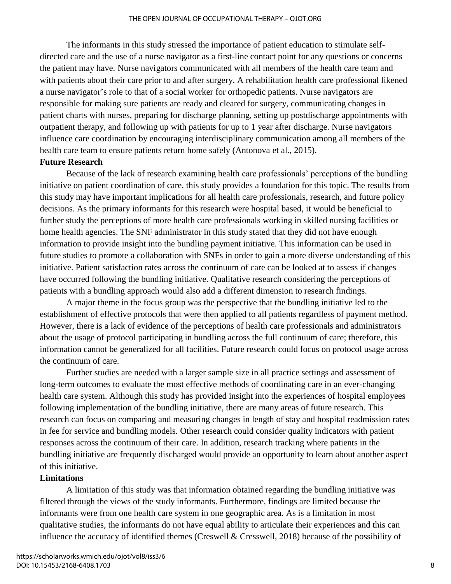The informants in this study stressed the importance of patient education to stimulate selfdirected care and the use of a nurse navigator as a first-line contact point for any questions or concerns the patient may have. Nurse navigators communicated with all members of the health care team and with patients about their care prior to and after surgery. A rehabilitation health care professional likened a nurse navigator's role to that of a social worker for orthopedic patients. Nurse navigators are responsible for making sure patients are ready and cleared for surgery, communicating changes in patient charts with nurses, preparing for discharge planning, setting up postdischarge appointments with outpatient therapy, and following up with patients for up to 1 year after discharge. Nurse navigators influence care coordination by encouraging interdisciplinary communication among all members of the health care team to ensure patients return home safely (Antonova et al., 2015).

#### **Future Research**

Because of the lack of research examining health care professionals' perceptions of the bundling initiative on patient coordination of care, this study provides a foundation for this topic. The results from this study may have important implications for all health care professionals, research, and future policy decisions. As the primary informants for this research were hospital based, it would be beneficial to further study the perceptions of more health care professionals working in skilled nursing facilities or home health agencies. The SNF administrator in this study stated that they did not have enough information to provide insight into the bundling payment initiative. This information can be used in future studies to promote a collaboration with SNFs in order to gain a more diverse understanding of this initiative. Patient satisfaction rates across the continuum of care can be looked at to assess if changes have occurred following the bundling initiative. Qualitative research considering the perceptions of patients with a bundling approach would also add a different dimension to research findings.

A major theme in the focus group was the perspective that the bundling initiative led to the establishment of effective protocols that were then applied to all patients regardless of payment method. However, there is a lack of evidence of the perceptions of health care professionals and administrators about the usage of protocol participating in bundling across the full continuum of care; therefore, this information cannot be generalized for all facilities. Future research could focus on protocol usage across the continuum of care.

Further studies are needed with a larger sample size in all practice settings and assessment of long-term outcomes to evaluate the most effective methods of coordinating care in an ever-changing health care system. Although this study has provided insight into the experiences of hospital employees following implementation of the bundling initiative, there are many areas of future research. This research can focus on comparing and measuring changes in length of stay and hospital readmission rates in fee for service and bundling models. Other research could consider quality indicators with patient responses across the continuum of their care. In addition, research tracking where patients in the bundling initiative are frequently discharged would provide an opportunity to learn about another aspect of this initiative.

## **Limitations**

A limitation of this study was that information obtained regarding the bundling initiative was filtered through the views of the study informants. Furthermore, findings are limited because the informants were from one health care system in one geographic area. As is a limitation in most qualitative studies, the informants do not have equal ability to articulate their experiences and this can influence the accuracy of identified themes (Creswell & Cresswell, 2018) because of the possibility of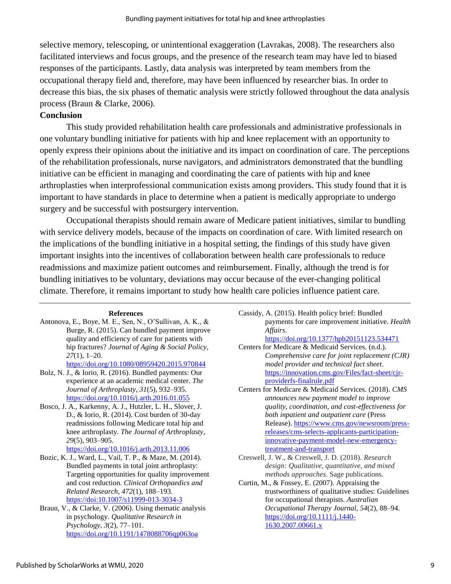selective memory, telescoping, or unintentional exaggeration (Lavrakas, 2008). The researchers also facilitated interviews and focus groups, and the presence of the research team may have led to biased responses of the participants. Lastly, data analysis was interpreted by team members from the occupational therapy field and, therefore, may have been influenced by researcher bias. In order to decrease this bias, the six phases of thematic analysis were strictly followed throughout the data analysis process (Braun & Clarke, 2006).

## **Conclusion**

This study provided rehabilitation health care professionals and administrative professionals in one voluntary bundling initiative for patients with hip and knee replacement with an opportunity to openly express their opinions about the initiative and its impact on coordination of care. The perceptions of the rehabilitation professionals, nurse navigators, and administrators demonstrated that the bundling initiative can be efficient in managing and coordinating the care of patients with hip and knee arthroplasties when interprofessional communication exists among providers. This study found that it is important to have standards in place to determine when a patient is medically appropriate to undergo surgery and be successful with postsurgery intervention.

Occupational therapists should remain aware of Medicare patient initiatives, similar to bundling with service delivery models, because of the impacts on coordination of care. With limited research on the implications of the bundling initiative in a hospital setting, the findings of this study have given important insights into the incentives of collaboration between health care professionals to reduce readmissions and maximize patient outcomes and reimbursement. Finally, although the trend is for bundling initiatives to be voluntary, deviations may occur because of the ever-changing political climate. Therefore, it remains important to study how health care policies influence patient care.

#### **References**

Antonova, E., Boye, M. E., Sen, N., O'Sullivan, A. K., & Burge, R. (2015). Can bundled payment improve quality and efficiency of care for patients with hip fractures? *Journal of Aging & Social Policy*, *27*(1), 1–20.

<https://doi.org/10.1080/08959420.2015.970844>

- Bolz, N. J., & Iorio, R. (2016). Bundled payments: Our experience at an academic medical center. *The Journal of Arthroplasty*, *31*(5), 932–935. <https://doi.org/10.1016/j.arth.2016.01.055>
- Bosco, J. A., Karkenny, A. J., Hutzler, L. H., Slover, J. D., & Iorio, R. (2014). Cost burden of 30-day readmissions following Medicare total hip and knee arthroplasty. *The Journal of Arthroplasty*, *29*(5), 903–905.
	- <https://doi.org/10.1016/j.arth.2013.11.006>
- Bozic, K. J., Ward, L., Vail, T. P., & Maze, M. (2014). Bundled payments in total joint arthroplasty: Targeting opportunities for quality improvement and cost reduction. *Clinical Orthopaedics and Related Research*, *472*(1), 188–193. <https://doi:10.1007/s11999-013-3034-3>
- Braun, V., & Clarke, V. (2006). Using thematic analysis in psychology. *Qualitative Research in Psychology*, *3*(2), 77–101. <https://doi.org/10.1191/1478088706qp063oa>
- Cassidy, A. (2015). Health policy brief: Bundled payments for care improvement initiative. *Health Affairs*. <https://doi.org/10.1377/hpb20151123.534471>
- Centers for Medicare & Medicaid Services. (n.d.). *Comprehensive care for joint replacement (CJR) model provider and technical fact sheet*. [https://innovation.cms.gov/Files/fact-sheet/cjr](https://innovation.cms.gov/Files/fact-sheet/cjr-providerfs-finalrule.pdf)[providerfs-finalrule.pdf](https://innovation.cms.gov/Files/fact-sheet/cjr-providerfs-finalrule.pdf)
- Centers for Medicare & Medicaid Services. (2018). *CMS announces new payment model to improve quality, coordination, and cost-effectiveness for both inpatient and outpatient care* (Press Release). [https://www.cms.gov/newsroom/press](https://www.cms.gov/newsroom/press-releases/cms-selects-applicants-participation-innovative-payment-model-new-emergency-treatment-and-transport)[releases/cms-selects-applicants-participation](https://www.cms.gov/newsroom/press-releases/cms-selects-applicants-participation-innovative-payment-model-new-emergency-treatment-and-transport)[innovative-payment-model-new-emergency](https://www.cms.gov/newsroom/press-releases/cms-selects-applicants-participation-innovative-payment-model-new-emergency-treatment-and-transport)[treatment-and-transport](https://www.cms.gov/newsroom/press-releases/cms-selects-applicants-participation-innovative-payment-model-new-emergency-treatment-and-transport)
- Creswell, J. W., & Creswell, J. D. (2018). *Research design: Qualitative, quantitative, and mixed methods approaches*. Sage publications.
- Curtin, M., & Fossey, E. (2007). Appraising the trustworthiness of qualitative studies: Guidelines for occupational therapists. *Australian Occupational Therapy Journal*, *54*(2), 88–94. [https://doi.org/10.1111/j.1440-](https://doi.org/10.1111/j.1440-1630.2007.00661.x) [1630.2007.00661.x](https://doi.org/10.1111/j.1440-1630.2007.00661.x)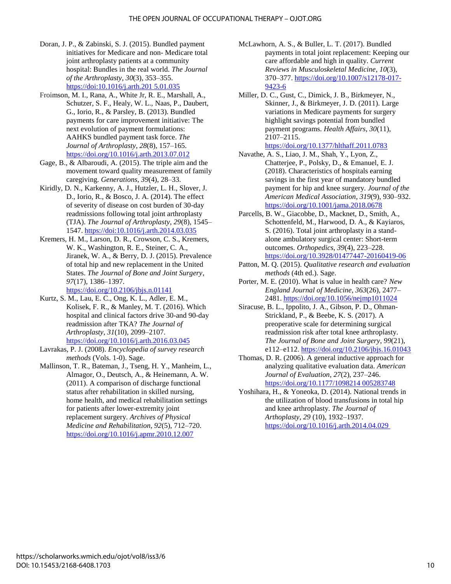- Doran, J. P., & Zabinski, S. J. (2015). Bundled payment initiatives for Medicare and non- Medicare total joint arthroplasty patients at a community hospital: Bundles in the real world. *The Journal of the Arthroplasty*, *30*(3), 353–355. [https://doi:10.1016/j.arth.201 5.01.035](https://doi:10.1016/j.arth.201%205.01.035)
- Froimson, M. I., Rana, A., White Jr, R. E., Marshall, A., Schutzer, S. F., Healy, W. L., Naas, P., Daubert, G., Iorio, R., & Parsley, B. (2013). Bundled payments for care improvement initiative: The next evolution of payment formulations: AAHKS bundled payment task force. *The Journal of Arthroplasty*, *28*(8), 157–165. <https://doi.org/10.1016/j.arth.2013.07.012>
- Gage, B., & Albaroudi, A. (2015). The triple aim and the movement toward quality measurement of family caregiving. *Generations*, *39*(4), 28–33.
- Kiridly, D. N., Karkenny, A. J., Hutzler, L. H., Slover, J. D., Iorio, R., & Bosco, J. A. (2014). The effect of severity of disease on cost burden of 30-day readmissions following total joint arthroplasty (TJA). *The Journal of Arthroplasty*, *29*(8), 1545– 1547.<https://doi:10.1016/j.arth.2014.03.035>
- Kremers, H. M., Larson, D. R., Crowson, C. S., Kremers, W. K., Washington, R. E., Steiner, C. A., Jiranek, W. A., & Berry, D. J. (2015). Prevalence of total hip and new replacement in the United States. *The Journal of Bone and Joint Surgery*, *97*(17), 1386–1397.

<https://doi.org/10.2106/jbjs.n.01141>

- Kurtz, S. M., Lau, E. C., Ong, K. L., Adler, E. M., Kolisek, F. R., & Manley, M. T. (2016). Which hospital and clinical factors drive 30-and 90-day readmission after TKA? *The Journal of Arthroplasty*, *31*(10), 2099–2107. <https://doi.org/10.1016/j.arth.2016.03.045>
- Lavrakas, P. J. (2008). *Encyclopedia of survey research methods* (Vols. 1-0). Sage.
- Mallinson, T. R., Bateman, J., Tseng, H. Y., Manheim, L., Almagor, O., Deutsch, A., & Heinemann, A. W. (2011). A comparison of discharge functional status after rehabilitation in skilled nursing, home health, and medical rehabilitation settings for patients after lower-extremity joint replacement surgery. *Archives of Physical Medicine and Rehabilitation*, *92*(5), 712–720. <https://doi.org/10.1016/j.apmr.2010.12.007>
- McLawhorn, A. S., & Buller, L. T. (2017). Bundled payments in total joint replacement: Keeping our care affordable and high in quality. *Current Reviews in Musculoskeletal Medicine*, *10*(3), 370–377. [https://doi.org/10.1007/s12178-017-](https://doi.org/10.1007/s12178-017-9423-6) [9423-6](https://doi.org/10.1007/s12178-017-9423-6)
- Miller, D. C., Gust, C., Dimick, J. B., Birkmeyer, N., Skinner, J., & Birkmeyer, J. D. (2011). Large variations in Medicare payments for surgery highlight savings potential from bundled payment programs. *Health Affairs*, *30*(11), 2107–2115.

<https://doi.org/10.1377/hlthaff.2011.0783>

- Navathe, A. S., Liao, J. M., Shah, Y., Lyon, Z., Chatterjee, P., Polsky, D., & Emanuel, E. J. (2018). Characteristics of hospitals earning savings in the first year of mandatory bundled payment for hip and knee surgery. *Journal of the American Medical Association*, *319*(9), 930–932. <https://doi.org/10.1001/jama.2018.0678>
- Parcells, B. W., Giacobbe, D., Macknet, D., Smith, A., Schottenfeld, M., Harwood, D. A., & Kayiaros, S. (2016). Total joint arthroplasty in a standalone ambulatory surgical center: Short-term outcomes. *Orthopedics*, *39*(4), 223–228. <https://doi.org/10.3928/01477447-20160419-06>
- Patton, M. Q. (2015). *Qualitative research and evaluation methods* (4th ed.). Sage.
- Porter, M. E. (2010). What is value in health care? *New England Journal of Medicine*, *363*(26), 2477– 2481.<https://doi.org/10.1056/nejmp1011024>
- Siracuse, B. L., Ippolito, J. A., Gibson, P. D., Ohman-Strickland, P., & Beebe, K. S. (2017). A preoperative scale for determining surgical readmission risk after total knee arthroplasty. *The Journal of Bone and Joint Surgery*, *99*(21), e112–e112.<https://doi.org/10.2106/jbjs.16.01043>
- Thomas, D. R. (2006). A general inductive approach for analyzing qualitative evaluation data. *American Journal of Evaluation*, *27*(2), 237–246. [https://doi.org/10.1177/1098214 005283748](https://doi.org/10.1177/1098214%20005283748)
- Yoshihara, H., & Yoneoka, D. (2014). National trends in the utilization of blood transfusions in total hip and knee arthroplasty. *The Journal of Arthoplasty*, *29* (10), 1932–1937. [https://doi.org/10.1016/j.arth.2014.04.029](https://doi.org/10.1016/j.arth.2014.04.029 )